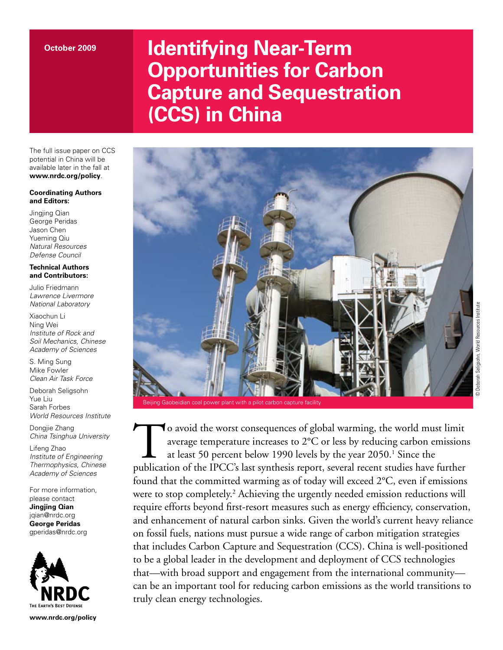# **Identifying Near-Term Opportunities for Carbon Capture and Sequestration (CCS) in China**

The full issue paper on CCS potential in China will be available later in the fall at **www.nrdc.org/policy**.

#### **Coordinating Authors and Editors:**

Jingjing Qian George Peridas Jason Chen Yueming Qiu *Natural Resources Defense Council*

#### **Technical Authors and Contributors:**

Julio Friedmann *Lawrence Livermore National Laboratory*

Xiaochun Li Ning Wei *Institute of Rock and Soil Mechanics, Chinese Academy of Sciences*

S. Ming Sung Mike Fowler *Clean Air Task Force*

Deborah Seligsohn Yue Liu Sarah Forbes *World Resources Institute*

Dongjie Zhang *China Tsinghua University*

Lifeng Zhao *Institute of Engineering Thermophysics, Chinese Academy of Sciences*

For more information, please contact **Jingjing Qian** jqian@nrdc.org

**George Peridas** gperidas@nrdc.org



**www.nrdc.org/policy**



To avoid the worst consequences of global warming, the world must limit average temperature increases to 2°C or less by reducing carbon emissions at least 50 percent below 1990 levels by the year 2050.<sup>1</sup> Since the publication of the IPCC's last synthesis report, several recent studies have further found that the committed warming as of today will exceed 2°C, even if emissions were to stop completely.<sup>2</sup> Achieving the urgently needed emission reductions will require efforts beyond first-resort measures such as energy efficiency, conservation, and enhancement of natural carbon sinks. Given the world's current heavy reliance on fossil fuels, nations must pursue a wide range of carbon mitigation strategies that includes Carbon Capture and Sequestration (CCS). China is well-positioned to be a global leader in the development and deployment of CCS technologies that—with broad support and engagement from the international community can be an important tool for reducing carbon emissions as the world transitions to truly clean energy technologies.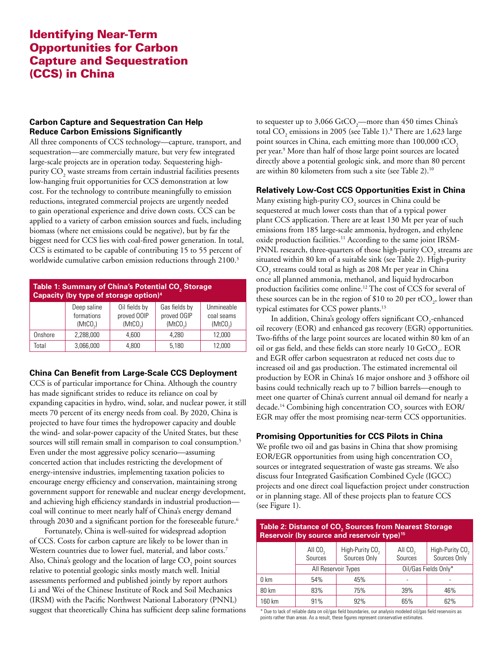# Identifying Near-Term Opportunities for Carbon Capture and Sequestration (CCS) in China

#### **Carbon Capture and Sequestration Can Help Reduce Carbon Emissions Significantly**

All three components of CCS technology—capture, transport, and sequestration—are commercially mature, but very few integrated large-scale projects are in operation today. Sequestering highpurity  $\mathrm{CO}_\mathrm{2}$  waste streams from certain industrial facilities presents low-hanging fruit opportunities for CCS demonstration at low cost. For the technology to contribute meaningfully to emission reductions, integrated commercial projects are urgently needed to gain operational experience and drive down costs. CCS can be applied to a variety of carbon emission sources and fuels, including biomass (where net emissions could be negative), but by far the biggest need for CCS lies with coal-fired power generation. In total, CCS is estimated to be capable of contributing 15 to 55 percent of worldwide cumulative carbon emission reductions through 2100.<sup>3</sup>

| Table 1: Summary of China's Potential CO <sub>2</sub> Storage<br>Capacity (by type of storage option) <sup>4</sup> |                                                   |                                                      |                                                      |                                                  |  |  |
|--------------------------------------------------------------------------------------------------------------------|---------------------------------------------------|------------------------------------------------------|------------------------------------------------------|--------------------------------------------------|--|--|
|                                                                                                                    | Deep saline<br>formations<br>(MtCO <sub>2</sub> ) | Oil fields by<br>proved OOIP<br>(MtCO <sub>2</sub> ) | Gas fields by<br>proved OGIP<br>(MtCO <sub>2</sub> ) | Unmineable<br>coal seams<br>(MtCO <sub>2</sub> ) |  |  |
| Onshore                                                                                                            | 2,288,000                                         | 4.600                                                | 4.280                                                | 12,000                                           |  |  |
| Total                                                                                                              | 3,066,000                                         | 4.800                                                | 5.180                                                | 12,000                                           |  |  |

#### **China Can Benefit from Large-Scale CCS Deployment**

CCS is of particular importance for China. Although the country has made significant strides to reduce its reliance on coal by expanding capacities in hydro, wind, solar, and nuclear power, it still meets 70 percent of its energy needs from coal. By 2020, China is projected to have four times the hydropower capacity and double the wind- and solar-power capacity of the United States, but these sources will still remain small in comparison to coal consumption.<sup>5</sup> Even under the most aggressive policy scenario—assuming concerted action that includes restricting the development of energy-intensive industries, implementing taxation policies to encourage energy efficiency and conservation, maintaining strong government support for renewable and nuclear energy development, and achieving high efficiency standards in industrial production coal will continue to meet nearly half of China's energy demand through 2030 and a significant portion for the foreseeable future.<sup>6</sup>

Fortunately, China is well-suited for widespread adoption of CCS. Costs for carbon capture are likely to be lower than in Western countries due to lower fuel, material, and labor costs.<sup>7</sup> Also, China's geology and the location of large  $\mathrm{CO}_2$  point sources relative to potential geologic sinks mostly match well. Initial assessments performed and published jointly by report authors Li and Wei of the Chinese Institute of Rock and Soil Mechanics (IRSM) with the Pacific Northwest National Laboratory (PNNL) suggest that theoretically China has sufficient deep saline formations to sequester up to 3,066  $\rm GtCO_2$ —more than 450 times China's total  $\rm CO_{2}$  emissions in 2005 (see Table 1).<sup>8</sup> There are 1,623 large point sources in China, each emitting more than 100,000 tCO<sub>2</sub> per year.9 More than half of those large point sources are located directly above a potential geologic sink, and more than 80 percent are within 80 kilometers from such a site (see Table 2).10

#### **Relatively Low-Cost CCS Opportunities Exist in China**

Many existing high-purity  $\mathrm{CO}_2$  sources in China could be sequestered at much lower costs than that of a typical power plant CCS application. There are at least 130 Mt per year of such emissions from 185 large-scale ammonia, hydrogen, and ethylene oxide production facilities.<sup>11</sup> According to the same joint IRSM-PNNL research, three-quarters of those high-purity  $\mathrm{CO}_\mathrm{2}$  streams are situated within 80 km of a suitable sink (see Table 2). High-purity  $\mathrm{CO}_2$  streams could total as high as 208 Mt per year in China once all planned ammonia, methanol, and liquid hydrocarbon production facilities come online.12 The cost of CCS for several of these sources can be in the region of \$10 to 20 per tCO<sub>2</sub>, lower than typical estimates for CCS power plants.13

In addition, China's geology offers significant  $\mathrm{CO}_\textit{2}$ -enhanced oil recovery (EOR) and enhanced gas recovery (EGR) opportunities. Two-fifths of the large point sources are located within 80 km of an oil or gas field, and these fields can store nearly 10  $\mathrm{GtCO}_2$ . EOR and EGR offer carbon sequestraton at reduced net costs due to increased oil and gas production. The estimated incremental oil production by EOR in China's 16 major onshore and 3 offshore oil basins could technically reach up to 7 billion barrels—enough to meet one quarter of China's current annual oil demand for nearly a decade.<sup>14</sup> Combining high concentration  $\mathrm{CO}_2^{}$  sources with EOR/ EGR may offer the most promising near-term CCS opportunities.

#### **Promising Opportunities for CCS Pilots in China**

We profile two oil and gas basins in China that show promising EOR/EGR opportunities from using high concentration  $CO<sub>2</sub>$ sources or integrated sequestration of waste gas streams. We also discuss four Integrated Gasification Combined Cycle (IGCC) projects and one direct coal liquefaction project under construction or in planning stage. All of these projects plan to feature CCS (see Figure 1).

## Table 2: Distance of CO<sub>2</sub> Sources from Nearest Storage **Reservoir (by source and reservoir type)15**

|        | All $CO2$<br>Sources | High-Purity CO <sub>2</sub><br>Sources Only | All $CO2$<br>Sources | High-Purity CO <sub>2</sub><br>Sources Only |
|--------|----------------------|---------------------------------------------|----------------------|---------------------------------------------|
|        | All Reservoir Types  |                                             | Oil/Gas Fields Only* |                                             |
| 0 km   | 54%                  | 45%                                         |                      |                                             |
| 80 km  | 83%                  | 75%                                         | 39%                  | 46%                                         |
| 160 km | 91%                  | 92%                                         | 65%                  | 62%                                         |

\* Due to lack of reliable data on oil/gas field boundaries, our analysis modeled oil/gas field reservoirs as points rather than areas. As a result, these figures represent conservative estimates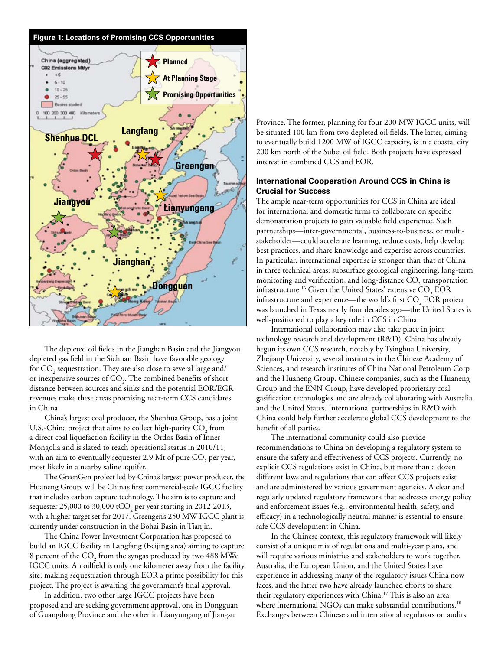

The depleted oil fields in the Jianghan Basin and the Jiangyou depleted gas field in the Sichuan Basin have favorable geology for  $\mathrm{CO}_2^{}$  sequestration. They are also close to several large and/ or inexpensive sources of  $\mathrm{CO}_2$ . The combined benefits of short distance between sources and sinks and the potential EOR/EGR revenues make these areas promising near-term CCS candidates in China.

China's largest coal producer, the Shenhua Group, has a joint U.S.-China project that aims to collect high-purity  $\mathrm{CO}_2^{}$  from a direct coal liquefaction facility in the Ordos Basin of Inner Mongolia and is slated to reach operational status in 2010/11, with an aim to eventually sequester 2.9 Mt of pure  $\mathrm{CO}_2^{}$  per year, most likely in a nearby saline aquifer.

The GreenGen project led by China's largest power producer, the Huaneng Group, will be China's first commercial-scale IGCC facility that includes carbon capture technology. The aim is to capture and sequester 25,000 to 30,000 tCO<sub>2</sub> per year starting in 2012-2013, with a higher target set for 2017. Greengen's 250 MW IGCC plant is currently under construction in the Bohai Basin in Tianjin.

The China Power Investment Corporation has proposed to build an IGCC facility in Langfang (Beijing area) aiming to capture 8 percent of the  $\mathrm{CO}_2$  from the syngas produced by two 488 MWe IGCC units. An oilfield is only one kilometer away from the facility site, making sequestration through EOR a prime possibility for this project. The project is awaiting the government's final approval.

In addition, two other large IGCC projects have been proposed and are seeking government approval, one in Dongguan of Guangdong Province and the other in Lianyungang of Jiangsu

Province. The former, planning for four 200 MW IGCC units, will be situated 100 km from two depleted oil fields. The latter, aiming to eventually build 1200 MW of IGCC capacity, is in a coastal city 200 km north of the Subei oil field. Both projects have expressed interest in combined CCS and EOR.

#### **International Cooperation Around CCS in China is Crucial for Success**

The ample near-term opportunities for CCS in China are ideal for international and domestic firms to collaborate on specific demonstration projects to gain valuable field experience. Such partnerships—inter-governmental, business-to-business, or multistakeholder—could accelerate learning, reduce costs, help develop best practices, and share knowledge and expertise across countries. In particular, international expertise is stronger than that of China in three technical areas: subsurface geological engineering, long-term monitoring and verification, and long-distance  $\mathrm{CO}_2$  transportation infrastructure.<sup>16</sup> Given the United States' extensive  $\mathrm{CO}_2^-$  EOR infrastructure and experience—the world's first  $\mathrm{CO}_2^-$  EOR project was launched in Texas nearly four decades ago—the United States is well-positioned to play a key role in CCS in China.

International collaboration may also take place in joint technology research and development (R&D). China has already begun its own CCS research, notably by Tsinghua University, Zhejiang University, several institutes in the Chinese Academy of Sciences, and research institutes of China National Petroleum Corp and the Huaneng Group. Chinese companies, such as the Huaneng Group and the ENN Group, have developed proprietary coal gasification technologies and are already collaborating with Australia and the United States. International partnerships in R&D with China could help further accelerate global CCS development to the benefit of all parties.

The international community could also provide recommendations to China on developing a regulatory system to ensure the safety and effectiveness of CCS projects. Currently, no explicit CCS regulations exist in China, but more than a dozen different laws and regulations that can affect CCS projects exist and are administered by various government agencies. A clear and regularly updated regulatory framework that addresses energy policy and enforcement issues (e.g., environmental health, safety, and efficacy) in a technologically neutral manner is essential to ensure safe CCS development in China.

In the Chinese context, this regulatory framework will likely consist of a unique mix of regulations and multi-year plans, and will require various ministries and stakeholders to work together. Australia, the European Union, and the United States have experience in addressing many of the regulatory issues China now faces, and the latter two have already launched efforts to share their regulatory experiences with China.17 This is also an area where international NGOs can make substantial contributions.<sup>18</sup> Exchanges between Chinese and international regulators on audits